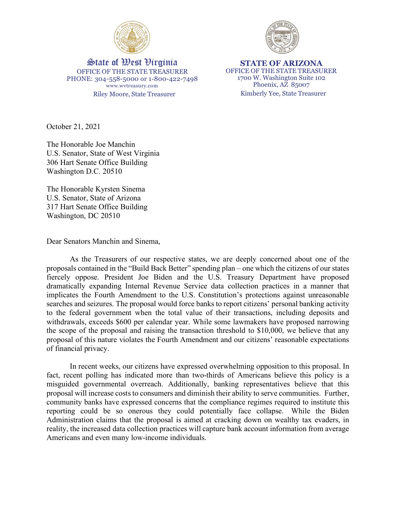



Riley Moore, State Treasurer Kimberly Yee, State Treasurer State of West Virginia OFFICE OF THE STATE TREASURER PHONE: 304-558-5000 or 1-800-422-7498 www.wvtreasury.com

**STATE OF ARIZONA** OFFICE OF THE STATE TREASURER 1700 W. Washington Suite 102 Phoenix, AZ 85007

October 21, 2021

The Honorable Joe Manchin U.S. Senator, State of West Virginia 306 Hart Senate Office Building Washington D.C. 20510

The Honorable Kyrsten Sinema U.S. Senator, State of Arizona 317 Hart Senate Office Building Washington, DC 20510

Dear Senators Manchin and Sinema,

As the Treasurers of our respective states, we are deeply concerned about one of the proposals contained in the "Build Back Better" spending plan – one which the citizens of our states fiercely oppose. President Joe Biden and the U.S. Treasury Department have proposed dramatically expanding Internal Revenue Service data collection practices in a manner that implicates the Fourth Amendment to the U.S. Constitution's protections against unreasonable searches and seizures. The proposal would force banks to report citizens' personal banking activity to the federal government when the total value of their transactions, including deposits and withdrawals, exceeds \$600 per calendar year. While some lawmakers have proposed narrowing the scope of the proposal and raising the transaction threshold to \$10,000, we believe that any proposal of this nature violates the Fourth Amendment and our citizens' reasonable expectations of financial privacy.

In recent weeks, our citizens have expressed overwhelming opposition to this proposal. In fact, recent polling has indicated more than two-thirds of Americans believe this policy is a misguided governmental overreach. Additionally, banking representatives believe that this proposal will increase costs to consumers and diminish their ability to serve communities. Further, community banks have expressed concerns that the compliance regimes required to institute this reporting could be so onerous they could potentially face collapse. While the Biden Administration claims that the proposal is aimed at cracking down on wealthy tax evaders, in reality, the increased data collection practices will capture bank account information from average Americans and even many low-income individuals.